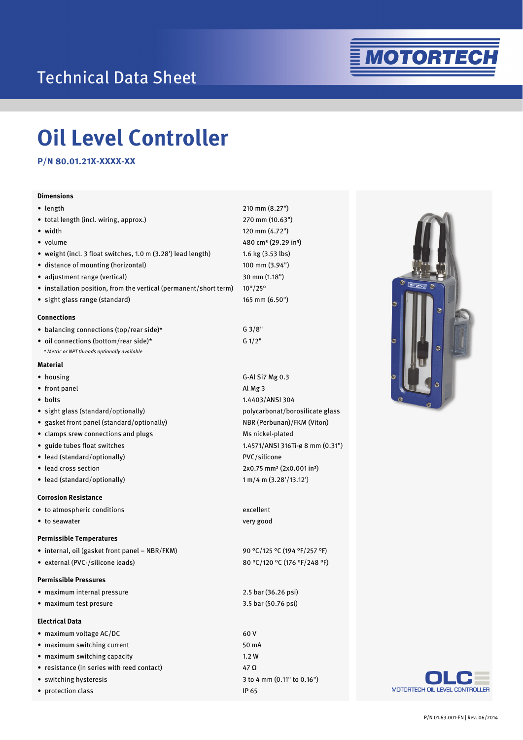## Technical Data Sheet



# **Oil Level Controller**

**P/N 80.01.21X-XXXX-XX** 

#### **Dimensions**

| Dimensions                                                        |                                                   |
|-------------------------------------------------------------------|---------------------------------------------------|
| $\bullet$ length                                                  | 210 mm (8.27")                                    |
| • total length (incl. wiring, approx.)                            | 270 mm (10.63")                                   |
| • width                                                           | 120 mm (4.72")                                    |
| • volume                                                          | 480 cm <sup>3</sup> (29.29 in <sup>3</sup> )      |
| • weight (incl. 3 float switches, 1.0 m (3.28') lead length)      | 1.6 kg (3.53 lbs)                                 |
| • distance of mounting (horizontal)                               | 100 mm (3.94")                                    |
| · adjustment range (vertical)                                     | 30 mm (1.18")                                     |
| • installation position, from the vertical (permanent/short term) | $10^{\circ}/25^{\circ}$                           |
| · sight glass range (standard)                                    | 165 mm (6.50")                                    |
| <b>Connections</b>                                                |                                                   |
| • balancing connections (top/rear side)*                          | G3/8"                                             |
| • oil connections (bottom/rear side)*                             | G 1/2"                                            |
| * Metric or NPT threads optionally available                      |                                                   |
| Material                                                          |                                                   |
| • housing                                                         | G-Al Si7 Mg 0.3                                   |
| • front panel                                                     | Al Mg 3                                           |
| • bolts                                                           | 1.4403/ANSI 304                                   |
| • sight glass (standard/optionally)                               | polycarbonat/borosilicate g                       |
| • gasket front panel (standard/optionally)                        | NBR (Perbunan)/FKM (Viton                         |
| • clamps srew connections and plugs                               | Ms nickel-plated                                  |
| • guide tubes float switches                                      | 1.4571/ANSI 316Ti-ø 8 mm (                        |
| • lead (standard/optionally)                                      | PVC/silicone                                      |
| • lead cross section                                              | 2x0.75 mm <sup>2</sup> (2x0.001 in <sup>2</sup> ) |
| • lead (standard/optionally)                                      | 1 m/4 m (3.28'/13.12')                            |
| <b>Corrosion Resistance</b>                                       |                                                   |
| • to atmospheric conditions                                       | excellent                                         |
| • to seawater                                                     | very good                                         |
| <b>Permissible Temperatures</b>                                   |                                                   |
| • internal, oil (gasket front panel - NBR/FKM)                    | 90 °C/125 °C (194 °F/257 °F)                      |
| • external (PVC-/silicone leads)                                  | 80 °C/120 °C (176 °F/248 °F                       |

#### **Permissible Pressures**

|  |  |  | • maximum internal pressure |  |
|--|--|--|-----------------------------|--|
|--|--|--|-----------------------------|--|

∙ maximum test presure

#### **Electrical Data**

| $\bullet$ maximum voltage AC/DC            |
|--------------------------------------------|
| • maximum switching current                |
| • maximum switching capacity               |
| • resistance (in series with reed contact) |
| • switching hysteresis                     |
| • protection class                         |

glass NBR (Perbunan)/FKM (Viton)  $(0.31")$ 

80 °C/120 °C (176 °F/248 °F)

2.5 bar (36.26 psi) 3.5 bar (50.76 psi)

60 V 50 mA 1.2 W 47 Ω 3 to 4 mm (0.11" to 0.16") IP 65